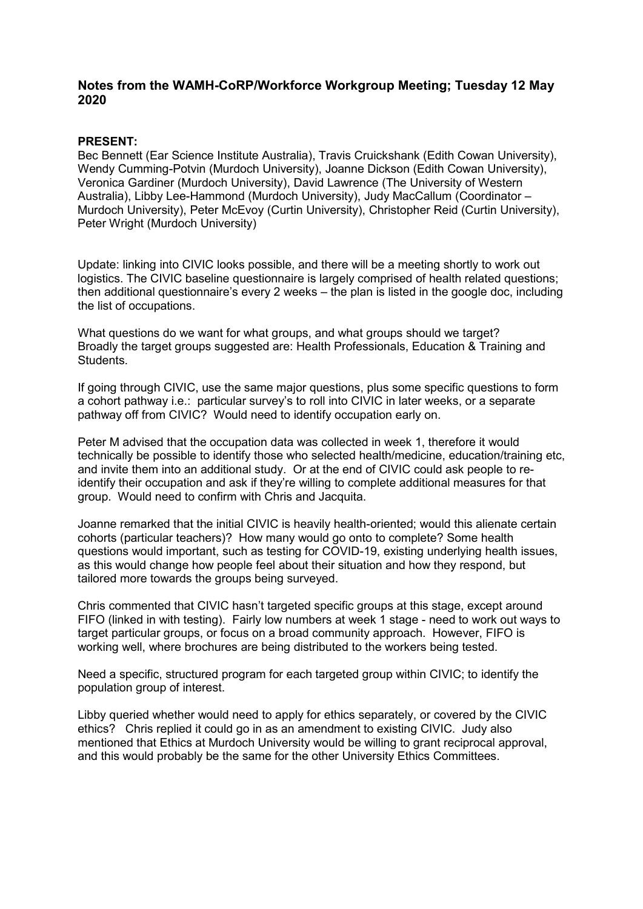## **Notes from the WAMH-CoRP/Workforce Workgroup Meeting; Tuesday 12 May 2020**

## **PRESENT:**

Bec Bennett (Ear Science Institute Australia), Travis Cruickshank (Edith Cowan University), Wendy Cumming-Potvin (Murdoch University), Joanne Dickson (Edith Cowan University), Veronica Gardiner (Murdoch University), David Lawrence (The University of Western Australia), Libby Lee-Hammond (Murdoch University), Judy MacCallum (Coordinator – Murdoch University), Peter McEvoy (Curtin University), Christopher Reid (Curtin University), Peter Wright (Murdoch University)

Update: linking into CIVIC looks possible, and there will be a meeting shortly to work out logistics. The CIVIC baseline questionnaire is largely comprised of health related questions; then additional questionnaire's every 2 weeks – the plan is listed in the google doc, including the list of occupations.

What questions do we want for what groups, and what groups should we target? Broadly the target groups suggested are: Health Professionals, Education & Training and Students.

If going through CIVIC, use the same major questions, plus some specific questions to form a cohort pathway i.e.: particular survey's to roll into CIVIC in later weeks, or a separate pathway off from CIVIC? Would need to identify occupation early on.

Peter M advised that the occupation data was collected in week 1, therefore it would technically be possible to identify those who selected health/medicine, education/training etc, and invite them into an additional study. Or at the end of CIVIC could ask people to reidentify their occupation and ask if they're willing to complete additional measures for that group. Would need to confirm with Chris and Jacquita.

Joanne remarked that the initial CIVIC is heavily health-oriented; would this alienate certain cohorts (particular teachers)? How many would go onto to complete? Some health questions would important, such as testing for COVID-19, existing underlying health issues, as this would change how people feel about their situation and how they respond, but tailored more towards the groups being surveyed.

Chris commented that CIVIC hasn't targeted specific groups at this stage, except around FIFO (linked in with testing). Fairly low numbers at week 1 stage - need to work out ways to target particular groups, or focus on a broad community approach. However, FIFO is working well, where brochures are being distributed to the workers being tested.

Need a specific, structured program for each targeted group within CIVIC; to identify the population group of interest.

Libby queried whether would need to apply for ethics separately, or covered by the CIVIC ethics? Chris replied it could go in as an amendment to existing CIVIC. Judy also mentioned that Ethics at Murdoch University would be willing to grant reciprocal approval, and this would probably be the same for the other University Ethics Committees.